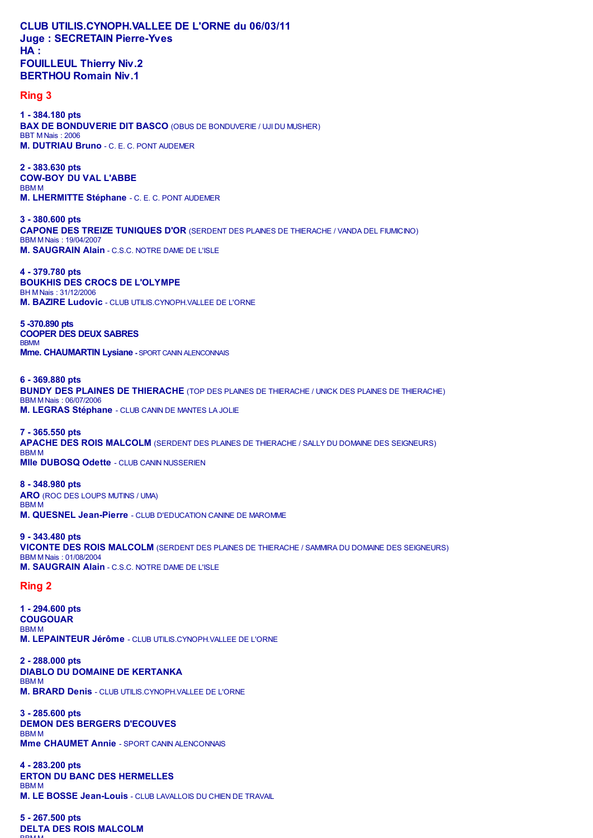## **CLUB UTILIS.CYNOPH.VALLEE DE L'ORNE du 06/03/11 Juge : SECRETAIN Pierre-Yves HA : FOUILLEUL Thierry Niv.2 BERTHOU Romain Niv.1**

## **Ring 3**

**1 - 384.180 pts BAX DE BONDUVERIE DIT BASCO** (OBUS DE BONDUVERIE / UJI DU MUSHER) BBT M Nais : 2006 **M. DUTRIAU Bruno** - C. E. C. PONT AUDEMER

**2 - 383.630 pts COW-BOY DU VAL L'ABBE** BBM M **M. LHERMITTE Stéphane** - C. E. C. PONT AUDEMER

**3 - 380.600 pts CAPONE DES TREIZE TUNIQUES D'OR** (SERDENT DES PLAINES DE THIERACHE / VANDA DEL FIUMICINO) BBM M Nais : 19/04/2007 **M. SAUGRAIN Alain** - C.S.C. NOTRE DAME DE L'ISLE

**4 - 379.780 pts BOUKHIS DES CROCS DE L'OLYMPE** BH M Nais : 31/12/2006 **M. BAZIRE Ludovic** - CLUB UTILIS.CYNOPH.VALLEE DE L'ORNE

**5 -370.890 pts COOPER DES DEUX SABRES BBMM Mme. CHAUMARTIN Lysiane - SPORT CANIN ALENCONNAIS** 

**6 - 369.880 pts BUNDY DES PLAINES DE THIERACHE** (TOP DES PLAINES DE THIERACHE / UNICK DES PLAINES DE THIERACHE) BBM M Nais : 06/07/2006 **M. LEGRAS Stéphane** - CLUB CANIN DE MANTES LA JOLIE

**7 - 365.550 pts APACHE DES ROIS MALCOLM** (SERDENT DES PLAINES DE THIERACHE / SALLY DU DOMAINE DES SEIGNEURS) BBM M **Mlle DUBOSQ Odette** - CLUB CANIN NUSSERIEN

**8 - 348.980 pts ARO** (ROC DES LOUPS MUTINS / UMA) BBM M **M. QUESNEL Jean-Pierre** - CLUB D'EDUCATION CANINE DE MAROMME

**9 - 343.480 pts VICONTE DES ROIS MALCOLM** (SERDENT DES PLAINES DE THIERACHE / SAMMIRA DU DOMAINE DES SEIGNEURS) BBM M Nais : 01/08/2004 **M. SAUGRAIN Alain** - C.S.C. NOTRE DAME DE L'ISLE

## **Ring 2**

**1 - 294.600 pts COUGOUAR** BBM M **M. LEPAINTEUR Jérôme** - CLUB UTILIS.CYNOPH.VALLEE DE L'ORNE

**2 - 288.000 pts DIABLO DU DOMAINE DE KERTANKA** BBM M **M. BRARD Denis** - CLUB UTILIS.CYNOPH.VALLEE DE L'ORNE

**3 - 285.600 pts DEMON DES BERGERS D'ECOUVES** BBM M **Mme CHAUMET Annie** - SPORT CANIN ALENCONNAIS

**4 - 283.200 pts ERTON DU BANC DES HERMELLES** BBM M **M. LE BOSSE Jean-Louis** - CLUB LAVALLOIS DU CHIEN DE TRAVAIL

**5 - 267.500 pts DELTA DES ROIS MALCOLM** BBM M